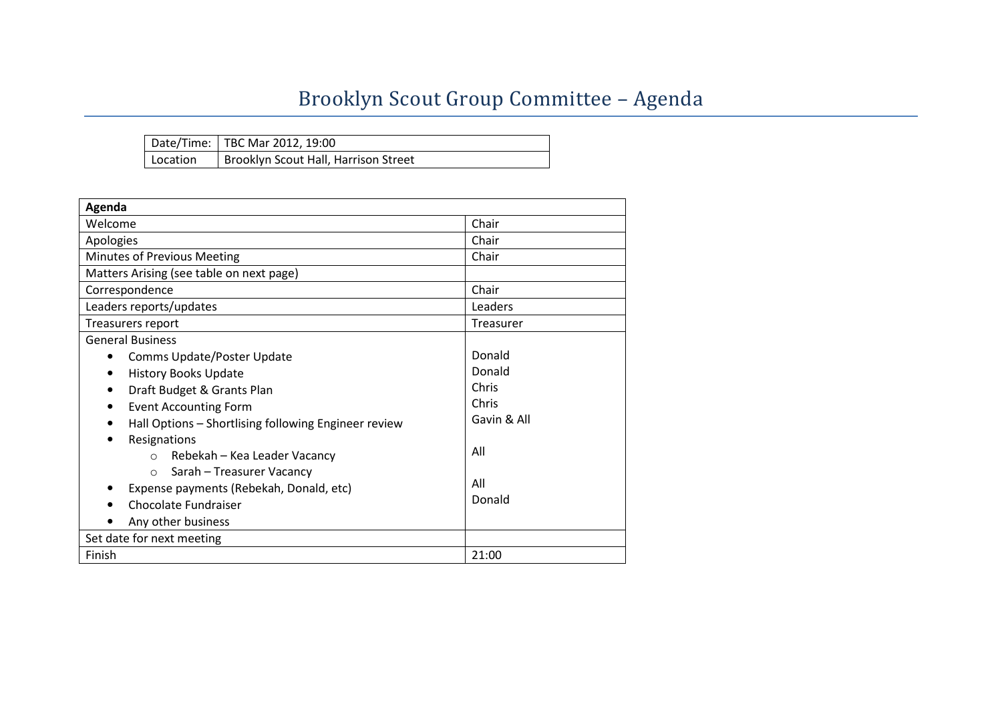## Brooklyn Scout Group Committee - Agenda

|          | Date/Time:   TBC Mar 2012, 19:00     |
|----------|--------------------------------------|
| Location | Brooklyn Scout Hall, Harrison Street |

| Agenda                                               |             |
|------------------------------------------------------|-------------|
| Welcome                                              | Chair       |
| Apologies                                            | Chair       |
| Minutes of Previous Meeting                          | Chair       |
| Matters Arising (see table on next page)             |             |
| Correspondence                                       | Chair       |
| Leaders reports/updates                              | Leaders     |
| Treasurers report                                    | Treasurer   |
| <b>General Business</b>                              |             |
| Comms Update/Poster Update<br>$\bullet$              | Donald      |
| <b>History Books Update</b><br>$\bullet$             | Donald      |
| Draft Budget & Grants Plan                           | Chris       |
| <b>Event Accounting Form</b>                         | Chris       |
| Hall Options - Shortlising following Engineer review | Gavin & All |
| Resignations                                         |             |
| Rebekah – Kea Leader Vacancy<br>$\Omega$             | All         |
| Sarah - Treasurer Vacancy<br>$\bigcirc$              |             |
| Expense payments (Rebekah, Donald, etc)              | All         |
| Chocolate Fundraiser                                 | Donald      |
| Any other business                                   |             |
| Set date for next meeting                            |             |
| Finish                                               | 21:00       |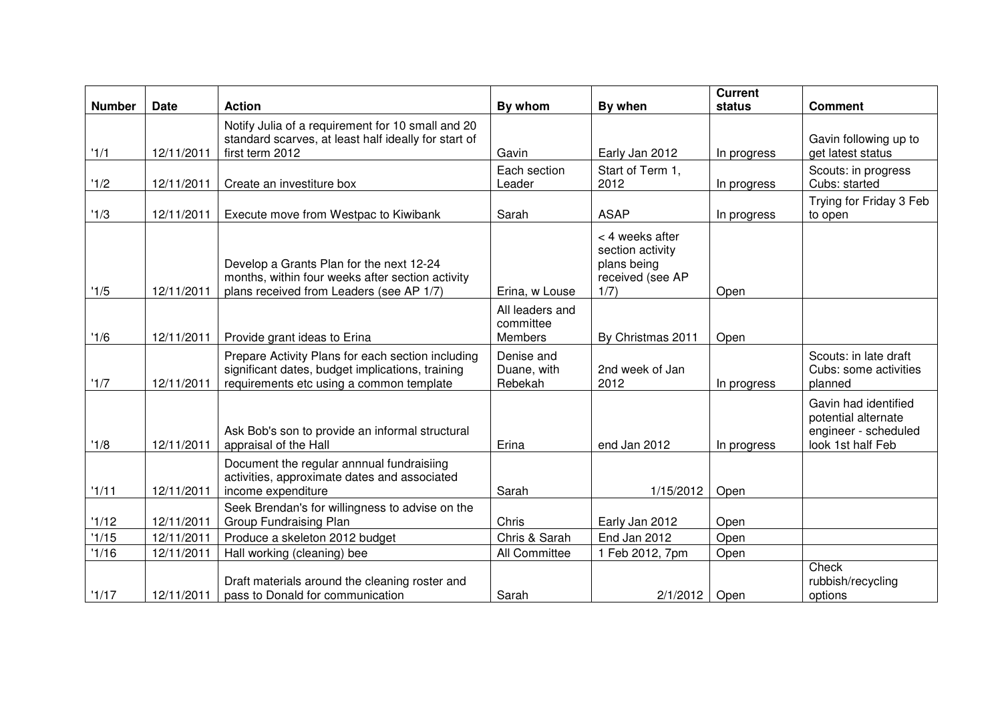| <b>Number</b> | <b>Date</b> | <b>Action</b>                                                                                                                                     | By whom                                 | By when                                                                        | <b>Current</b><br>status | <b>Comment</b>                                                                           |
|---------------|-------------|---------------------------------------------------------------------------------------------------------------------------------------------------|-----------------------------------------|--------------------------------------------------------------------------------|--------------------------|------------------------------------------------------------------------------------------|
|               |             | Notify Julia of a requirement for 10 small and 20                                                                                                 |                                         |                                                                                |                          |                                                                                          |
| '1/1          | 12/11/2011  | standard scarves, at least half ideally for start of<br>first term 2012                                                                           | Gavin                                   | Early Jan 2012                                                                 | In progress              | Gavin following up to<br>get latest status                                               |
| '1/2          | 12/11/2011  | Create an investiture box                                                                                                                         | Each section<br>Leader                  | Start of Term 1,<br>2012                                                       | In progress              | Scouts: in progress<br>Cubs: started                                                     |
| '1/3          | 12/11/2011  | Execute move from Westpac to Kiwibank                                                                                                             | Sarah                                   | <b>ASAP</b>                                                                    | In progress              | Trying for Friday 3 Feb<br>to open                                                       |
| '1/5          | 12/11/2011  | Develop a Grants Plan for the next 12-24<br>months, within four weeks after section activity<br>plans received from Leaders (see AP 1/7)          | Erina, w Louse                          | < 4 weeks after<br>section activity<br>plans being<br>received (see AP<br>1/7) | Open                     |                                                                                          |
| '1/6          | 12/11/2011  | Provide grant ideas to Erina                                                                                                                      | All leaders and<br>committee<br>Members | By Christmas 2011                                                              | Open                     |                                                                                          |
| '1/7          | 12/11/2011  | Prepare Activity Plans for each section including<br>significant dates, budget implications, training<br>requirements etc using a common template | Denise and<br>Duane, with<br>Rebekah    | 2nd week of Jan<br>2012                                                        | In progress              | Scouts: in late draft<br>Cubs: some activities<br>planned                                |
| '1/8          | 12/11/2011  | Ask Bob's son to provide an informal structural<br>appraisal of the Hall                                                                          | Erina                                   | end Jan 2012                                                                   | In progress              | Gavin had identified<br>potential alternate<br>engineer - scheduled<br>look 1st half Feb |
| '1/11         | 12/11/2011  | Document the regular annnual fundraisiing<br>activities, approximate dates and associated<br>income expenditure                                   | Sarah                                   | 1/15/2012                                                                      | Open                     |                                                                                          |
| '1/12         | 12/11/2011  | Seek Brendan's for willingness to advise on the<br><b>Group Fundraising Plan</b>                                                                  | Chris                                   | Early Jan 2012                                                                 | Open                     |                                                                                          |
| '1/15         | 12/11/2011  | Produce a skeleton 2012 budget                                                                                                                    | Chris & Sarah                           | End Jan 2012                                                                   | Open                     |                                                                                          |
| '1/16         | 12/11/2011  | Hall working (cleaning) bee                                                                                                                       | All Committee                           | 1 Feb 2012, 7pm                                                                | Open                     |                                                                                          |
| '1/17         | 12/11/2011  | Draft materials around the cleaning roster and<br>pass to Donald for communication                                                                | Sarah                                   | 2/1/2012                                                                       | Open                     | Check<br>rubbish/recycling<br>options                                                    |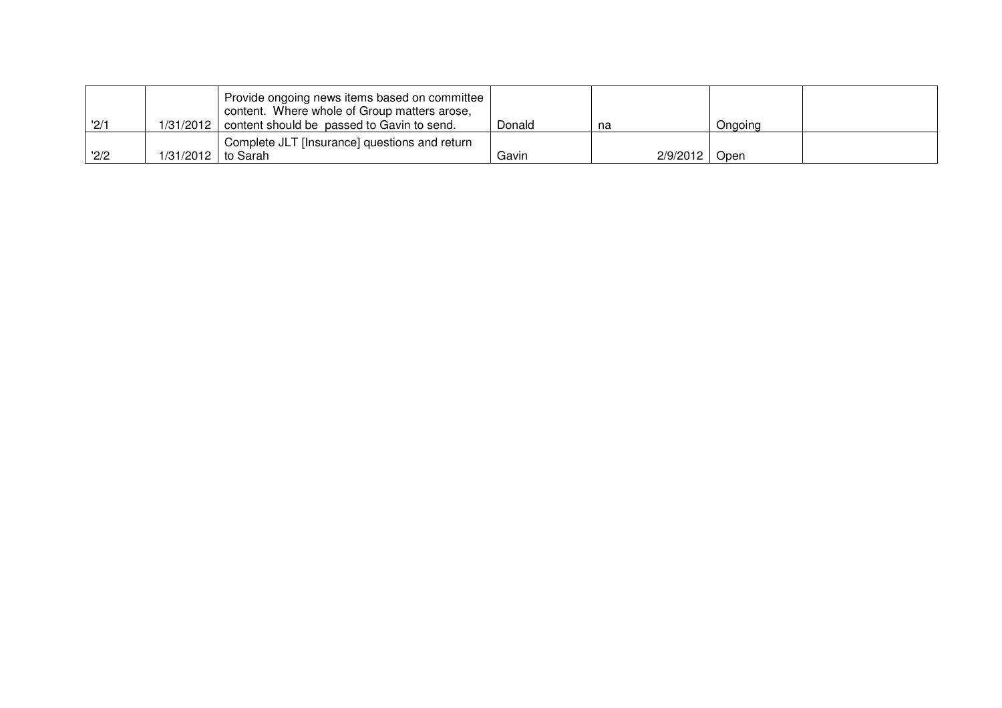| '2/1 |                      | Provide ongoing news items based on committee<br>content. Where whole of Group matters arose,<br>1/31/2012   content should be passed to Gavin to send. | Donald | na              | Ongoing |  |
|------|----------------------|---------------------------------------------------------------------------------------------------------------------------------------------------------|--------|-----------------|---------|--|
|      |                      | Complete JLT [Insurance] questions and return                                                                                                           |        |                 |         |  |
| '2/2 | 1/31/2012   to Sarah |                                                                                                                                                         | Gavin  | 2/9/2012   Open |         |  |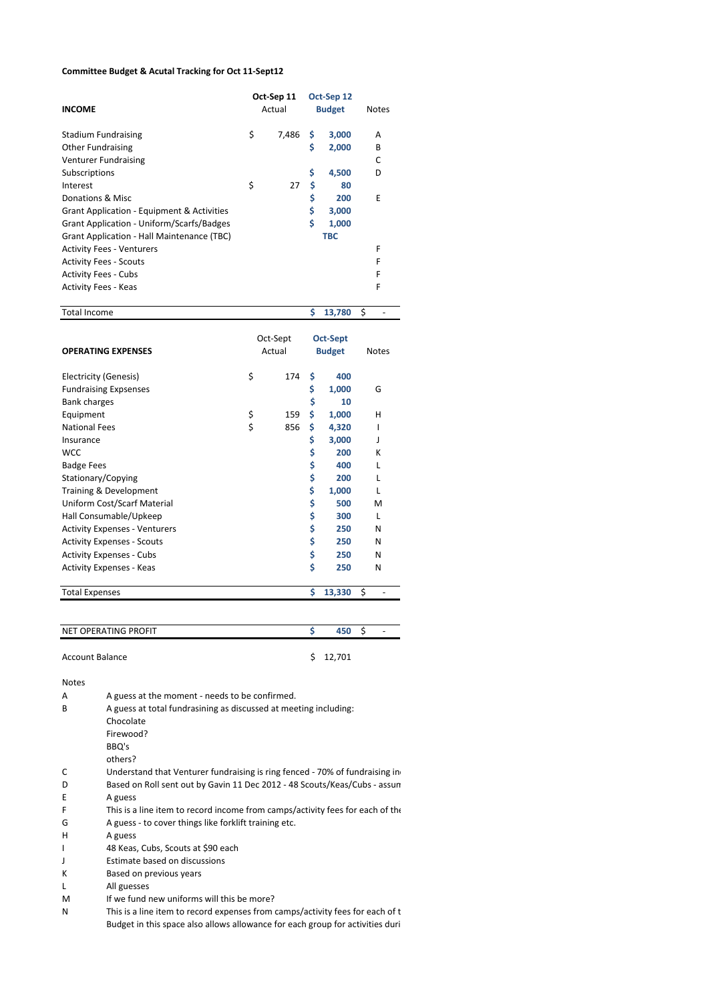#### Committee Budget & Acutal Tracking for Oct 11-Sept12

|                                                  |        | Oct-Sep 11 |               | Oct-Sep 12 |    |              |
|--------------------------------------------------|--------|------------|---------------|------------|----|--------------|
| <b>INCOME</b>                                    | Actual |            | <b>Budget</b> |            |    | <b>Notes</b> |
| <b>Stadium Fundraising</b>                       | \$     | 7,486      | \$            | 3,000      |    | A            |
|                                                  |        |            |               |            |    |              |
| <b>Other Fundraising</b>                         |        |            | \$            | 2,000      |    | B            |
| <b>Venturer Fundraising</b>                      |        |            |               |            |    | C            |
| Subscriptions                                    |        |            | \$            | 4,500      |    | D            |
| Interest                                         | \$     | 27         | \$            | 80         |    |              |
| Donations & Misc                                 |        |            | \$            | 200        |    | E            |
| Grant Application - Equipment & Activities       |        |            | \$            | 3,000      |    |              |
| <b>Grant Application - Uniform/Scarfs/Badges</b> |        |            | \$            | 1,000      |    |              |
| Grant Application - Hall Maintenance (TBC)       |        |            |               | <b>TBC</b> |    |              |
| <b>Activity Fees - Venturers</b>                 |        |            |               |            |    | F            |
| <b>Activity Fees - Scouts</b>                    |        |            |               |            |    | F            |
| <b>Activity Fees - Cubs</b>                      |        |            |               |            |    | F            |
| <b>Activity Fees - Keas</b>                      |        |            |               |            |    | F            |
| <b>Total Income</b>                              |        |            | S             | 13,780     | \$ |              |

|                                      | Oct-Sept |     | <b>Oct-Sept</b> |        |              |
|--------------------------------------|----------|-----|-----------------|--------|--------------|
| <b>OPERATING EXPENSES</b>            | Actual   |     | <b>Budget</b>   |        | <b>Notes</b> |
| Electricity (Genesis)                | \$       | 174 | \$              | 400    |              |
| <b>Fundraising Expsenses</b>         |          |     | \$              | 1,000  | G            |
| <b>Bank charges</b>                  |          |     | \$              | 10     |              |
| Equipment                            | \$       | 159 | \$              | 1,000  | н            |
| <b>National Fees</b>                 | \$       | 856 | \$              | 4,320  | ı            |
| Insurance                            |          |     | \$              | 3,000  | J            |
| <b>WCC</b>                           |          |     | \$              | 200    | к            |
| <b>Badge Fees</b>                    |          |     | \$              | 400    |              |
| Stationary/Copying                   |          |     | \$              | 200    | L            |
| Training & Development               |          |     | \$              | 1,000  |              |
| Uniform Cost/Scarf Material          |          |     | \$              | 500    | м            |
| Hall Consumable/Upkeep               |          |     | \$              | 300    | L            |
| <b>Activity Expenses - Venturers</b> |          |     | \$              | 250    | N            |
| <b>Activity Expenses - Scouts</b>    |          |     | \$              | 250    | N            |
| <b>Activity Expenses - Cubs</b>      |          |     | \$              | 250    | N            |
| <b>Activity Expenses - Keas</b>      |          |     | \$              | 250    | N            |
| <b>Total Expenses</b>                |          |     | \$              | 13,330 | \$           |

| NET OPERATING PROFIT | 450      | $\overline{\phantom{a}}$ |
|----------------------|----------|--------------------------|
|                      |          |                          |
| Account Balance      | \$12,701 |                          |

Notes

| А | A guess at the moment - needs to be confirmed.                                |
|---|-------------------------------------------------------------------------------|
| В | A guess at total fundrasining as discussed at meeting including:              |
|   | Chocolate                                                                     |
|   | Firewood?                                                                     |
|   | BBQ's                                                                         |
|   | others?                                                                       |
| с | Understand that Venturer fundraising is ring fenced - 70% of fundraising in   |
| D | Based on Roll sent out by Gavin 11 Dec 2012 - 48 Scouts/Keas/Cubs - assun     |
| E | A guess                                                                       |
| F | This is a line item to record income from camps/activity fees for each of the |
| G | A guess - to cover things like forklift training etc.                         |
| н | A guess                                                                       |
|   | 48 Keas, Cubs, Scouts at \$90 each                                            |
|   | Estimate based on discussions                                                 |
| К | Based on previous years                                                       |
|   | All guesses                                                                   |
|   | $\sim$ $\sim$ $\sim$ $\sim$ $\sim$                                            |

M If we fund new uniforms will this be more?

N This is a line item to record expenses from camps/activity fees for each of the areas of the areas areas areas of the areas of the areas of the areas of the areas of the areas of the areas of the areas of the areas of th Budget in this space also allows allowance for each group for activities duri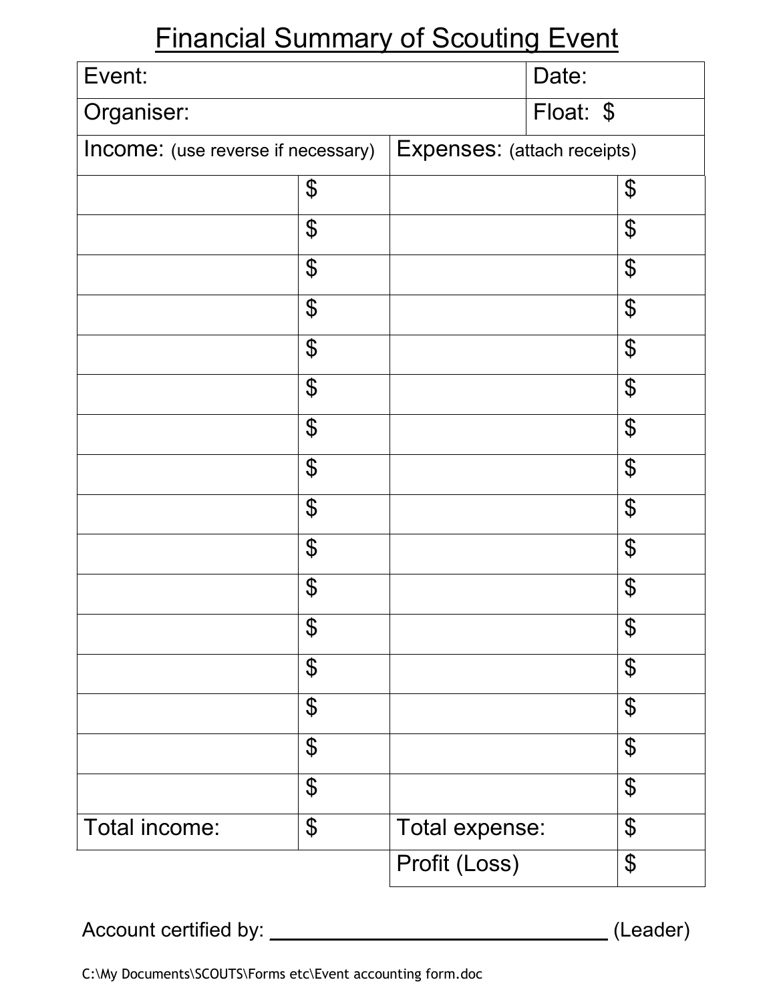# Financial Summary of Scouting Event

| Event:                             |                            |                             | Date:     |                        |
|------------------------------------|----------------------------|-----------------------------|-----------|------------------------|
| Organiser:                         |                            |                             | Float: \$ |                        |
| Income: (use reverse if necessary) |                            | Expenses: (attach receipts) |           |                        |
|                                    | \$                         |                             |           | \$                     |
|                                    | \$                         |                             |           | \$                     |
|                                    | \$                         |                             |           | \$                     |
|                                    | $\boldsymbol{\$}$          |                             |           | \$                     |
|                                    | \$                         |                             |           | \$                     |
|                                    | \$                         |                             |           | \$                     |
|                                    | $\boldsymbol{\$}$          |                             |           | \$                     |
|                                    | \$                         |                             |           | \$                     |
|                                    | \$                         |                             |           | \$                     |
|                                    | $\boldsymbol{\varphi}$     |                             |           | \$                     |
|                                    | \$                         |                             |           | \$                     |
|                                    | \$                         |                             |           | \$                     |
|                                    | $\boldsymbol{\mathcal{L}}$ |                             |           | \$                     |
|                                    | \$                         |                             |           | \$                     |
|                                    | $\boldsymbol{\varphi}$     |                             |           | $\boldsymbol{\varphi}$ |
|                                    | $\boldsymbol{\mathcal{L}}$ |                             |           | \$                     |
| Total income:                      | $\boldsymbol{\mathcal{L}}$ | Total expense:              |           | \$                     |
|                                    |                            | Profit (Loss)               |           | \$                     |

Account certified by: \_\_\_\_\_\_\_\_\_\_\_\_\_\_\_\_\_\_\_\_\_\_\_\_\_\_\_\_\_\_ (Leader)

C:\My Documents\SCOUTS\Forms etc\Event accounting form.doc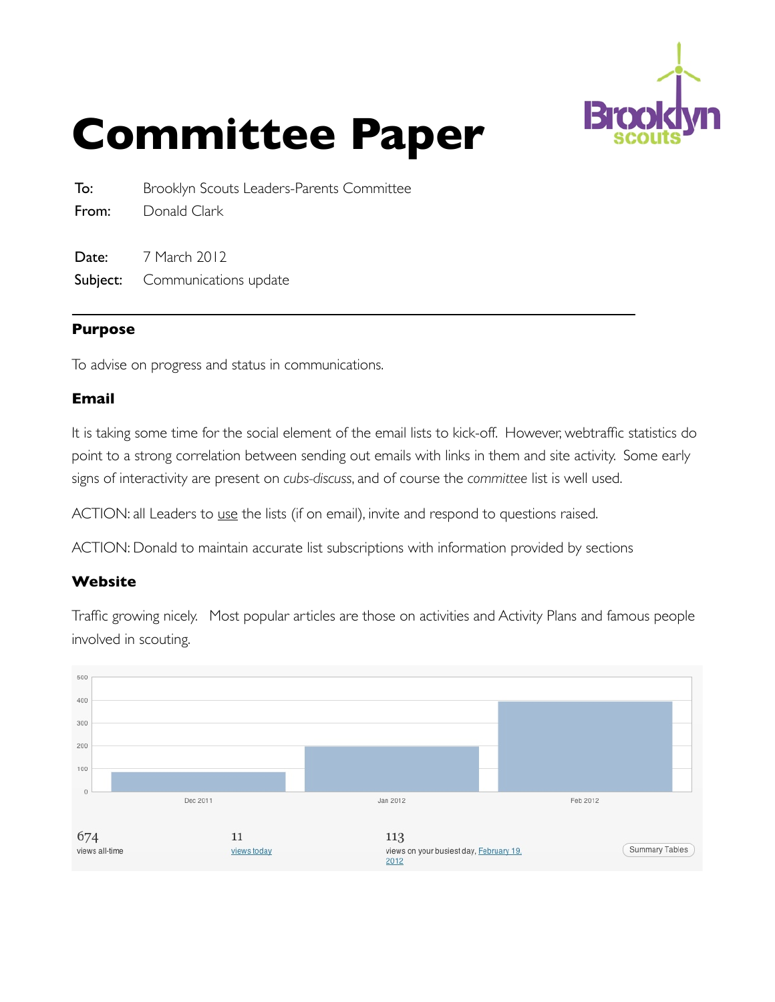

# **Committee Paper**

To: Brooklyn Scouts Leaders-Parents Committee

From: Donald Clark

**Date:** 7 March 2012 Subject: Communications update

### **Purpose**

To advise on progress and status in communications.

### **Email**

It is taking some time for the social element of the email lists to kick-off. However, webtraffic statistics do point to a strong correlation between sending out emails with links in them and site activity. Some early signs of interactivity are present on *cubs-discuss*, and of course the *committee* list is well used.

ACTION: all Leaders to use the lists (if on email), invite and respond to questions raised.

ACTION: Donald to maintain accurate list subscriptions with information provided by sections

### **Website**

Traffic growing nicely. Most popular articles are those on activities and Activity Plans and famous people involved in scouting.

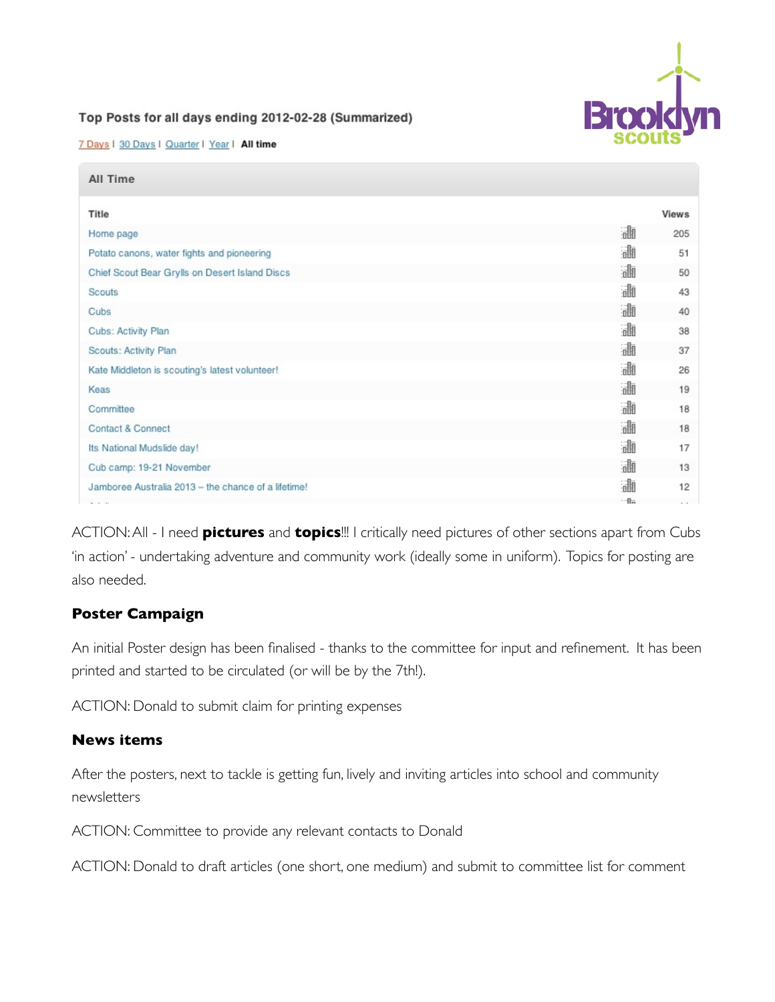

#### Top Posts for all days ending 2012-02-28 (Summarized)

7 Days | 30 Days | Quarter | Year | All time

| All Time                                            |     |              |
|-----------------------------------------------------|-----|--------------|
| Title                                               |     | <b>Views</b> |
| Home page                                           | 霝   | 205          |
| Potato canons, water fights and pioneering          | 訕   | 51           |
| Chief Scout Bear Grylls on Desert Island Discs      | 霝   | 50           |
| Scouts                                              | 訕   | 43           |
| Cubs                                                | 誳   | 40           |
| Cubs: Activity Plan                                 | 訕   | 38           |
| Scouts: Activity Plan                               | 訕   | 37           |
| Kate Middleton is scouting's latest volunteer!      | 訕   | 26           |
| Keas                                                | 訕   | 19           |
| Committee                                           | 訕   | 18           |
| Contact & Connect                                   | 訕   | 18           |
| Its National Mudslide day!                          | 訕   | 17           |
| Cub camp: 19-21 November                            | 霝   | 13           |
| Jamboree Australia 2013 - the chance of a lifetime! | 訕   | 12           |
|                                                     | $-$ |              |

ACTION: All - I need **pictures** and **topics**!!! I critically need pictures of other sections apart from Cubs 'in action' - undertaking adventure and community work (ideally some in uniform). Topics for posting are also needed.

### **Poster Campaign**

An initial Poster design has been finalised - thanks to the committee for input and refinement. It has been printed and started to be circulated (or will be by the 7th!).

ACTION: Donald to submit claim for printing expenses

### **News items**

After the posters, next to tackle is getting fun, lively and inviting articles into school and community newsletters

ACTION: Committee to provide any relevant contacts to Donald

ACTION: Donald to draft articles (one short, one medium) and submit to committee list for comment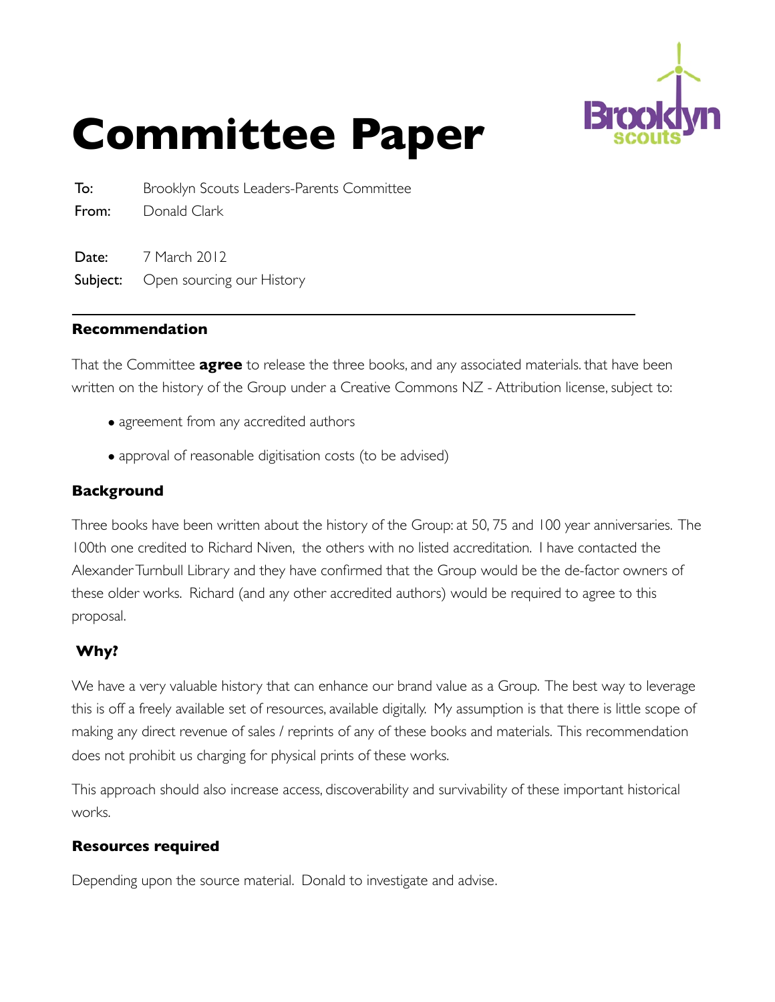

# **Committee Paper**

To: Brooklyn Scouts Leaders-Parents Committee From: Donald Clark

**Date:** 7 March 2012 Subject: Open sourcing our History

### **Recommendation**

That the Committee **agree** to release the three books, and any associated materials. that have been written on the history of the Group under a Creative Commons NZ - Attribution license, subject to:

- agreement from any accredited authors
- approval of reasonable digitisation costs (to be advised)

### **Background**

Three books have been written about the history of the Group: at 50, 75 and 100 year anniversaries. The 100th one credited to Richard Niven, the others with no listed accreditation. I have contacted the Alexander Turnbull Library and they have confirmed that the Group would be the de-factor owners of these older works. Richard (and any other accredited authors) would be required to agree to this proposal.

### **Why?**

We have a very valuable history that can enhance our brand value as a Group. The best way to leverage this is off a freely available set of resources, available digitally. My assumption is that there is little scope of making any direct revenue of sales / reprints of any of these books and materials. This recommendation does not prohibit us charging for physical prints of these works.

This approach should also increase access, discoverability and survivability of these important historical works.

### **Resources required**

Depending upon the source material. Donald to investigate and advise.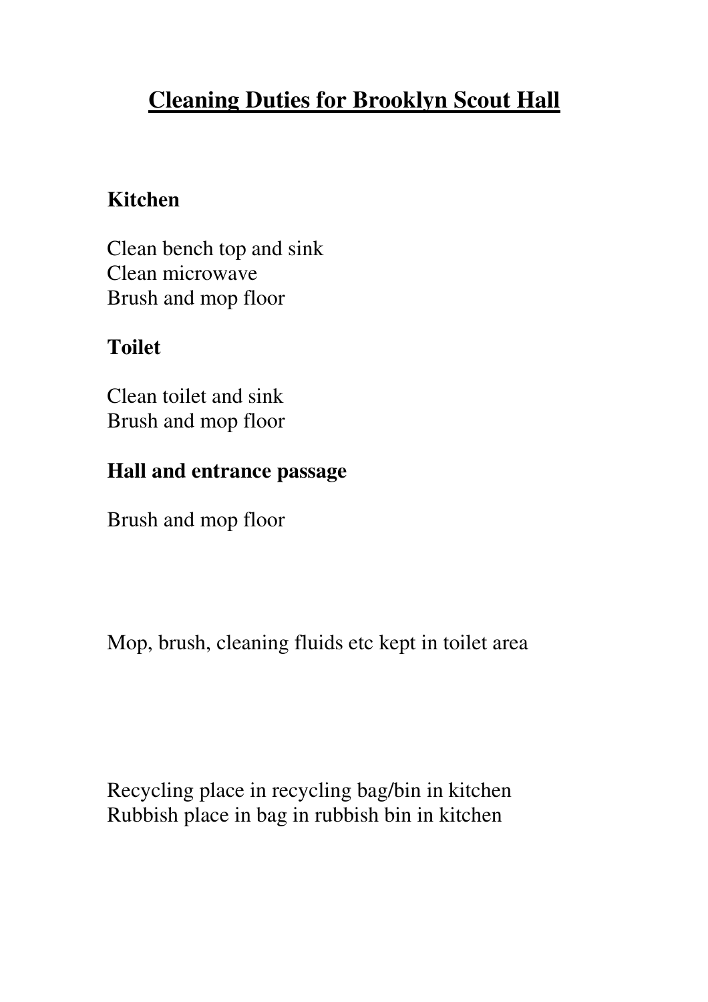## **Cleaning Duties for Brooklyn Scout Hall**

### **Kitchen**

Clean bench top and sink Clean microwave Brush and mop floor

### **Toilet**

Clean toilet and sink Brush and mop floor

### **Hall and entrance passage**

Brush and mop floor

Mop, brush, cleaning fluids etc kept in toilet area

Recycling place in recycling bag/bin in kitchen Rubbish place in bag in rubbish bin in kitchen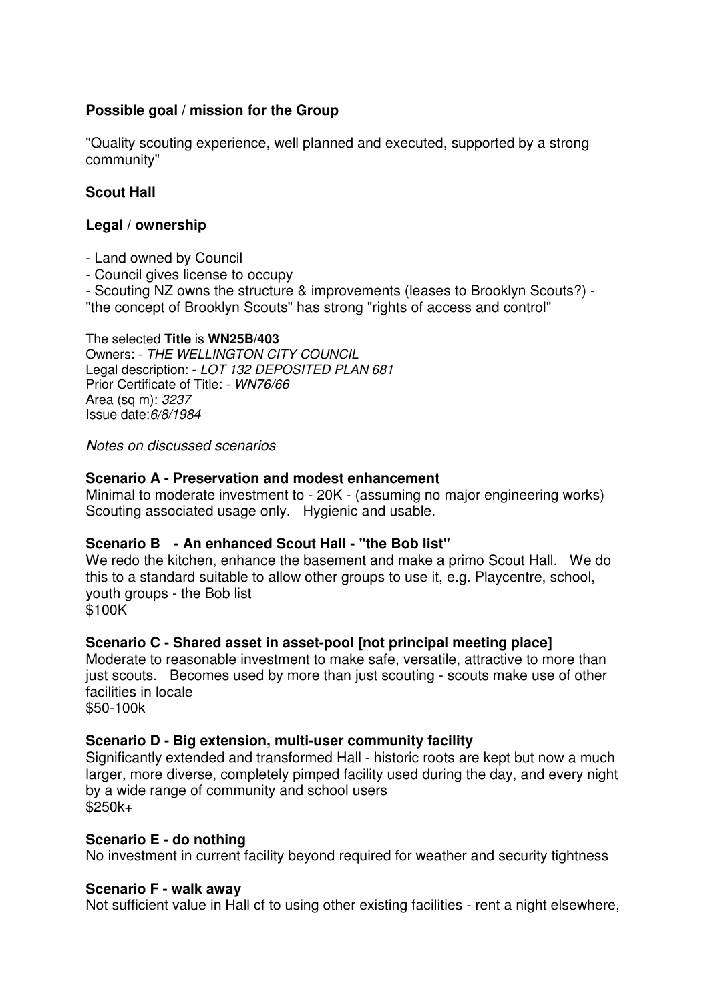### **Possible goal / mission for the Group**

"Quality scouting experience, well planned and executed, supported by a strong community"

### **Scout Hall**

### **Legal / ownership**

- Land owned by Council
- Council gives license to occupy

- Scouting NZ owns the structure & improvements (leases to Brooklyn Scouts?) -

"the concept of Brooklyn Scouts" has strong "rights of access and control"

### The selected **Title** is **WN25B/403**

Owners: - THE WELLINGTON CITY COUNCIL Legal description: - LOT 132 DEPOSITED PLAN 681 Prior Certificate of Title: - WN76/66 Area (sq m): 3237 Issue date:6/8/1984

Notes on discussed scenarios

### **Scenario A - Preservation and modest enhancement**

Minimal to moderate investment to - 20K - (assuming no major engineering works) Scouting associated usage only. Hygienic and usable.

### **Scenario B - An enhanced Scout Hall - "the Bob list"**

We redo the kitchen, enhance the basement and make a primo Scout Hall. We do this to a standard suitable to allow other groups to use it, e.g. Playcentre, school, youth groups - the Bob list \$100K

### **Scenario C - Shared asset in asset-pool [not principal meeting place]**

Moderate to reasonable investment to make safe, versatile, attractive to more than just scouts. Becomes used by more than just scouting - scouts make use of other facilities in locale

\$50-100k

### **Scenario D - Big extension, multi-user community facility**

Significantly extended and transformed Hall - historic roots are kept but now a much larger, more diverse, completely pimped facility used during the day, and every night by a wide range of community and school users  $$250k+$ 

### **Scenario E - do nothing**

No investment in current facility beyond required for weather and security tightness

#### **Scenario F - walk away**

Not sufficient value in Hall cf to using other existing facilities - rent a night elsewhere,